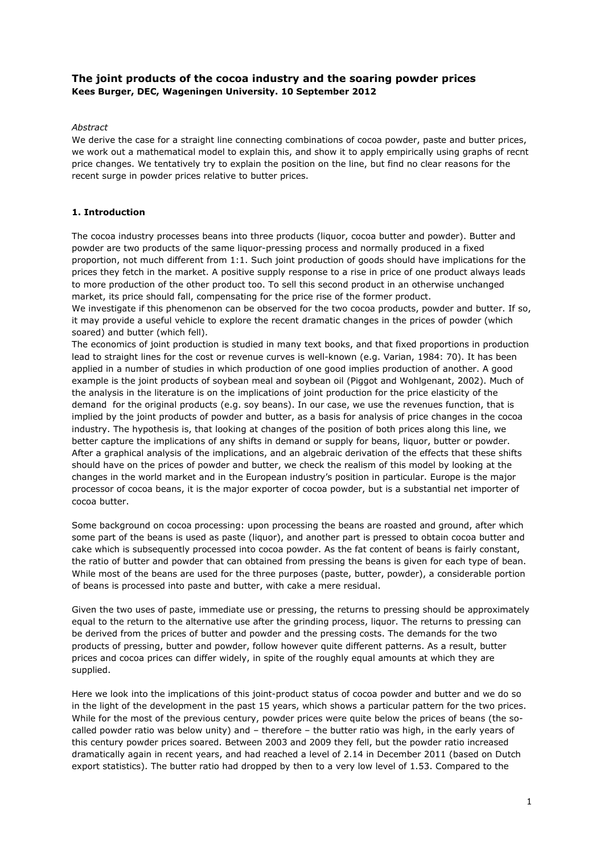# **The joint products of the cocoa industry and the soaring powder prices Kees Burger, DEC, Wageningen University. 10 September 2012**

# *Abstract*

We derive the case for a straight line connecting combinations of cocoa powder, paste and butter prices, we work out a mathematical model to explain this, and show it to apply empirically using graphs of recnt price changes. We tentatively try to explain the position on the line, but find no clear reasons for the recent surge in powder prices relative to butter prices.

# **1. Introduction**

The cocoa industry processes beans into three products (liquor, cocoa butter and powder). Butter and powder are two products of the same liquor-pressing process and normally produced in a fixed proportion, not much different from 1:1. Such joint production of goods should have implications for the prices they fetch in the market. A positive supply response to a rise in price of one product always leads to more production of the other product too. To sell this second product in an otherwise unchanged market, its price should fall, compensating for the price rise of the former product.

We investigate if this phenomenon can be observed for the two cocoa products, powder and butter. If so, it may provide a useful vehicle to explore the recent dramatic changes in the prices of powder (which soared) and butter (which fell).

The economics of joint production is studied in many text books, and that fixed proportions in production lead to straight lines for the cost or revenue curves is well-known (e.g. Varian, 1984: 70). It has been applied in a number of studies in which production of one good implies production of another. A good example is the joint products of soybean meal and soybean oil (Piggot and Wohlgenant, 2002). Much of the analysis in the literature is on the implications of joint production for the price elasticity of the demand for the original products (e.g. soy beans). In our case, we use the revenues function, that is implied by the joint products of powder and butter, as a basis for analysis of price changes in the cocoa industry. The hypothesis is, that looking at changes of the position of both prices along this line, we better capture the implications of any shifts in demand or supply for beans, liquor, butter or powder. After a graphical analysis of the implications, and an algebraic derivation of the effects that these shifts should have on the prices of powder and butter, we check the realism of this model by looking at the changes in the world market and in the European industry's position in particular. Europe is the major processor of cocoa beans, it is the major exporter of cocoa powder, but is a substantial net importer of cocoa butter.

Some background on cocoa processing: upon processing the beans are roasted and ground, after which some part of the beans is used as paste (liquor), and another part is pressed to obtain cocoa butter and cake which is subsequently processed into cocoa powder. As the fat content of beans is fairly constant, the ratio of butter and powder that can obtained from pressing the beans is given for each type of bean. While most of the beans are used for the three purposes (paste, butter, powder), a considerable portion of beans is processed into paste and butter, with cake a mere residual.

Given the two uses of paste, immediate use or pressing, the returns to pressing should be approximately equal to the return to the alternative use after the grinding process, liquor. The returns to pressing can be derived from the prices of butter and powder and the pressing costs. The demands for the two products of pressing, butter and powder, follow however quite different patterns. As a result, butter prices and cocoa prices can differ widely, in spite of the roughly equal amounts at which they are supplied.

Here we look into the implications of this joint-product status of cocoa powder and butter and we do so in the light of the development in the past 15 years, which shows a particular pattern for the two prices. While for the most of the previous century, powder prices were quite below the prices of beans (the socalled powder ratio was below unity) and – therefore – the butter ratio was high, in the early years of this century powder prices soared. Between 2003 and 2009 they fell, but the powder ratio increased dramatically again in recent years, and had reached a level of 2.14 in December 2011 (based on Dutch export statistics). The butter ratio had dropped by then to a very low level of 1.53. Compared to the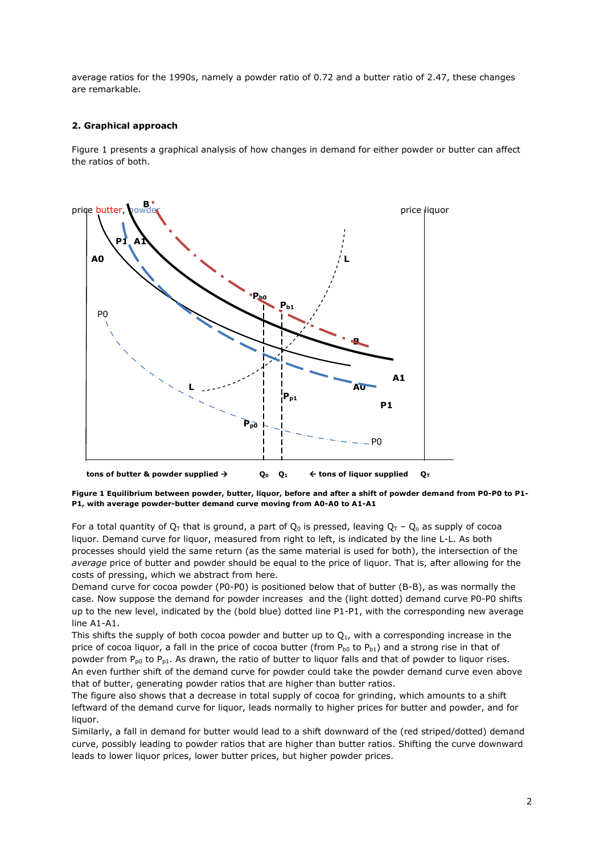average ratios for the 1990s, namely a powder ratio of 0.72 and a butter ratio of 2.47, these changes are remarkable.

# **2. Graphical approach**

Figure 1 presents a graphical analysis of how changes in demand for either powder or butter can affect the ratios of both.



**Figure 1 Equilibrium between powder, butter, liquor, before and after a shift of powder demand from P0-P0 to P1- P1, with average powder-butter demand curve moving from A0-A0 to A1-A1**

For a total quantity of  $Q_T$  that is ground, a part of  $Q_0$  is pressed, leaving  $Q_T - Q_0$  as supply of cocoa liquor. Demand curve for liquor, measured from right to left, is indicated by the line L-L. As both processes should yield the same return (as the same material is used for both), the intersection of the *average* price of butter and powder should be equal to the price of liquor. That is, after allowing for the costs of pressing, which we abstract from here.

Demand curve for cocoa powder (P0-P0) is positioned below that of butter (B-B), as was normally the case. Now suppose the demand for powder increases and the (light dotted) demand curve P0-P0 shifts up to the new level, indicated by the (bold blue) dotted line P1-P1, with the corresponding new average line A1-A1.

This shifts the supply of both cocoa powder and butter up to  $Q_1$ , with a corresponding increase in the price of cocoa liquor, a fall in the price of cocoa butter (from  $P_{b0}$  to  $P_{b1}$ ) and a strong rise in that of powder from  $P_{p0}$  to  $P_{p1}$ . As drawn, the ratio of butter to liquor falls and that of powder to liquor rises. An even further shift of the demand curve for powder could take the powder demand curve even above that of butter, generating powder ratios that are higher than butter ratios.

The figure also shows that a decrease in total supply of cocoa for grinding, which amounts to a shift leftward of the demand curve for liquor, leads normally to higher prices for butter and powder, and for liquor.

Similarly, a fall in demand for butter would lead to a shift downward of the (red striped/dotted) demand curve, possibly leading to powder ratios that are higher than butter ratios. Shifting the curve downward leads to lower liquor prices, lower butter prices, but higher powder prices.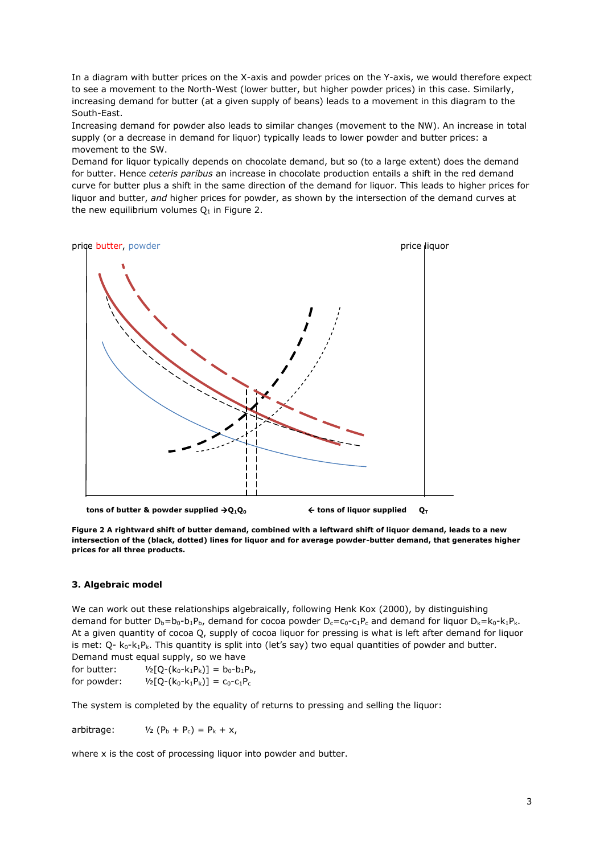In a diagram with butter prices on the X-axis and powder prices on the Y-axis, we would therefore expect to see a movement to the North-West (lower butter, but higher powder prices) in this case. Similarly, increasing demand for butter (at a given supply of beans) leads to a movement in this diagram to the South-East.

Increasing demand for powder also leads to similar changes (movement to the NW). An increase in total supply (or a decrease in demand for liquor) typically leads to lower powder and butter prices: a movement to the SW.

Demand for liquor typically depends on chocolate demand, but so (to a large extent) does the demand for butter. Hence *ceteris paribus* an increase in chocolate production entails a shift in the red demand curve for butter plus a shift in the same direction of the demand for liquor. This leads to higher prices for liquor and butter, *and* higher prices for powder, as shown by the intersection of the demand curves at the new equilibrium volumes  $Q_1$  in Figure 2.



 **tons of butter & powder supplied**  $\rightarrow$  **0<sub>1</sub>0<sub>0</sub>**  $\rightarrow$  **6**  $\rightarrow$  **100 figuor supplied 0<sub>T</sub>** 

**Figure 2 A rightward shift of butter demand, combined with a leftward shift of liquor demand, leads to a new intersection of the (black, dotted) lines for liquor and for average powder-butter demand, that generates higher prices for all three products.**

## **3. Algebraic model**

We can work out these relationships algebraically, following Henk Kox (2000), by distinguishing demand for butter  $D_b = b_0 - b_1P_b$ , demand for cocoa powder  $D_c = c_0 - c_1P_c$  and demand for liquor  $D_k = k_0 - k_1P_k$ . At a given quantity of cocoa Q, supply of cocoa liquor for pressing is what is left after demand for liquor is met:  $Q - k_0 - k_1 P_k$ . This quantity is split into (let's say) two equal quantities of powder and butter. Demand must equal supply, so we have

for butter:  $1/2[Q-(k_0-k_1P_k)] = b_0-b_1P_b$ , for powder:  $\frac{1}{2}[Q-(k_0-k_1P_k)] = C_0-C_1P_c$ 

The system is completed by the equality of returns to pressing and selling the liquor:

arbitrage:  $V_2 (P_b + P_c) = P_k + x$ ,

where x is the cost of processing liquor into powder and butter.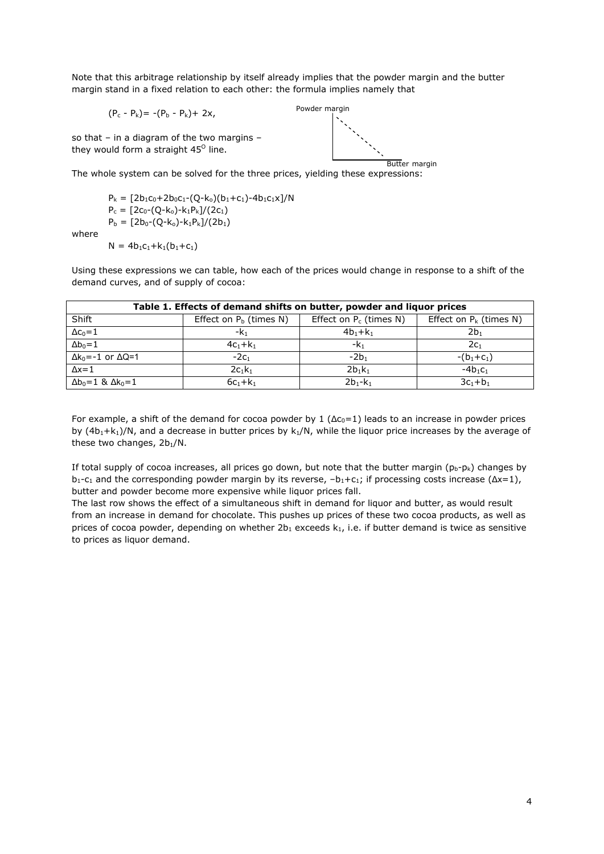Note that this arbitrage relationship by itself already implies that the powder margin and the butter margin stand in a fixed relation to each other: the formula implies namely that

 $(P_c - P_k) = -(P_b - P_k) + 2x,$ 

Powder margin

so that – in a diagram of the two margins – they would form a straight 45<sup>o</sup> line.

Butter margin The whole system can be solved for the three prices, yielding these expressions:

 $P_k = [2b_1c_0+2b_0c_1-(Q-k_0)(b_1+c_1)-4b_1c_1x]/N$  $P_c = [2c_0-(Q-k_0)-k_1P_k]/(2c_1)$  $P_b = [2b_0-(Q-k_0)-k_1P_k]/(2b_1)$ 

where

 $N = 4b_1c_1+k_1(b_1+c_1)$ 

Using these expressions we can table, how each of the prices would change in response to a shift of the demand curves, and of supply of cocoa:

| Table 1. Effects of demand shifts on butter, powder and liquor prices |                           |                           |                           |  |  |  |  |
|-----------------------------------------------------------------------|---------------------------|---------------------------|---------------------------|--|--|--|--|
| Shift                                                                 | Effect on $P_b$ (times N) | Effect on $P_c$ (times N) | Effect on $P_k$ (times N) |  |  |  |  |
| $\Delta c_0 = 1$                                                      | -k <sub>1</sub>           | $4b_1+k_1$                | 2b1                       |  |  |  |  |
| $\Delta b_0 = 1$                                                      | $4c_1+k_1$                | $-k_1$                    | 2c <sub>1</sub>           |  |  |  |  |
| $\Delta k_0 = -1$ or $\Delta Q = 1$                                   | $-2c1$                    | $-2b1$                    | $-(b_1+c_1)$              |  |  |  |  |
| $\Delta x = 1$                                                        | $2c_1k_1$                 | $2b_1k_1$                 | $-4b_1c_1$                |  |  |  |  |
| $\Delta b_0 = 1$ & $\Delta k_0 = 1$                                   | $6c_1 + k_1$              | $2b_1 - k_1$              | $3c_1 + b_1$              |  |  |  |  |

For example, a shift of the demand for cocoa powder by 1  $(\Delta c_0=1)$  leads to an increase in powder prices by  $(4b_1+k_1)/N$ , and a decrease in butter prices by  $k_1/N$ , while the liquor price increases by the average of these two changes,  $2b_1/N$ .

If total supply of cocoa increases, all prices go down, but note that the butter margin ( $p_b-p_k$ ) changes by  $b_1-c_1$  and the corresponding powder margin by its reverse,  $-b_1+c_1$ ; if processing costs increase ( $\Delta x=1$ ), butter and powder become more expensive while liquor prices fall.

The last row shows the effect of a simultaneous shift in demand for liquor and butter, as would result from an increase in demand for chocolate. This pushes up prices of these two cocoa products, as well as prices of cocoa powder, depending on whether  $2b_1$  exceeds  $k_1$ , i.e. if butter demand is twice as sensitive to prices as liquor demand.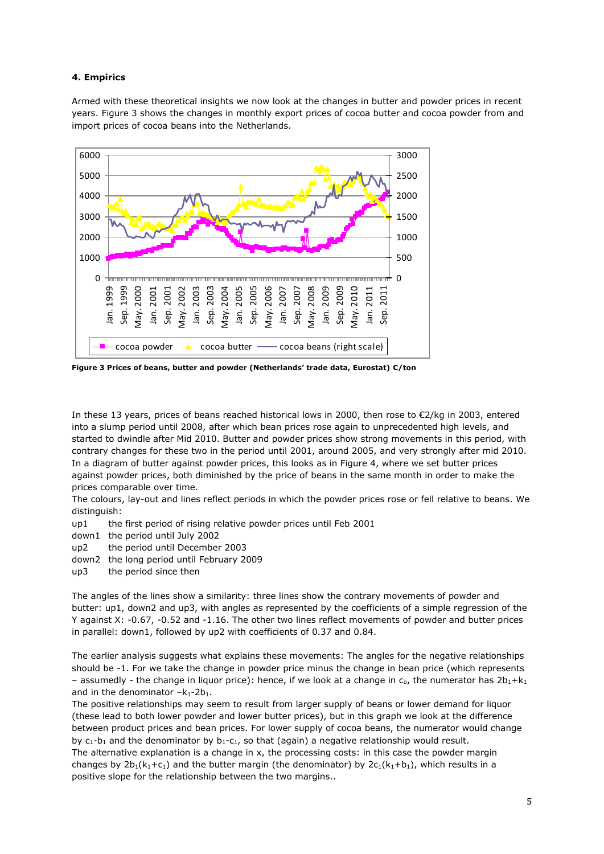## **4. Empirics**

Armed with these theoretical insights we now look at the changes in butter and powder prices in recent years. Figure 3 shows the changes in monthly export prices of cocoa butter and cocoa powder from and import prices of cocoa beans into the Netherlands.



**Figure 3 Prices of beans, butter and powder (Netherlands' trade data, Eurostat) €/ton**

In these 13 years, prices of beans reached historical lows in 2000, then rose to €2/kg in 2003, entered into a slump period until 2008, after which bean prices rose again to unprecedented high levels, and started to dwindle after Mid 2010. Butter and powder prices show strong movements in this period, with contrary changes for these two in the period until 2001, around 2005, and very strongly after mid 2010. In a diagram of butter against powder prices, this looks as in Figure 4, where we set butter prices against powder prices, both diminished by the price of beans in the same month in order to make the prices comparable over time.

The colours, lay-out and lines reflect periods in which the powder prices rose or fell relative to beans. We distinguish:

- up1 the first period of rising relative powder prices until Feb 2001
- down1 the period until July 2002
- up2 the period until December 2003
- down2 the long period until February 2009
- up3 the period since then

The angles of the lines show a similarity: three lines show the contrary movements of powder and butter: up1, down2 and up3, with angles as represented by the coefficients of a simple regression of the Y against X: -0.67, -0.52 and -1.16. The other two lines reflect movements of powder and butter prices in parallel: down1, followed by up2 with coefficients of 0.37 and 0.84.

The earlier analysis suggests what explains these movements: The angles for the negative relationships should be -1. For we take the change in powder price minus the change in bean price (which represents - assumedly - the change in liquor price): hence, if we look at a change in  $c_0$ , the numerator has  $2b_1+k_1$ and in the denominator  $-k_1-2b_1$ .

The positive relationships may seem to result from larger supply of beans or lower demand for liquor (these lead to both lower powder and lower butter prices), but in this graph we look at the difference between product prices and bean prices. For lower supply of cocoa beans, the numerator would change by  $c_1-b_1$  and the denominator by  $b_1-c_1$ , so that (again) a negative relationship would result. The alternative explanation is a change in x, the processing costs: in this case the powder margin changes by  $2b_1(k_1+c_1)$  and the butter margin (the denominator) by  $2c_1(k_1+b_1)$ , which results in a positive slope for the relationship between the two margins..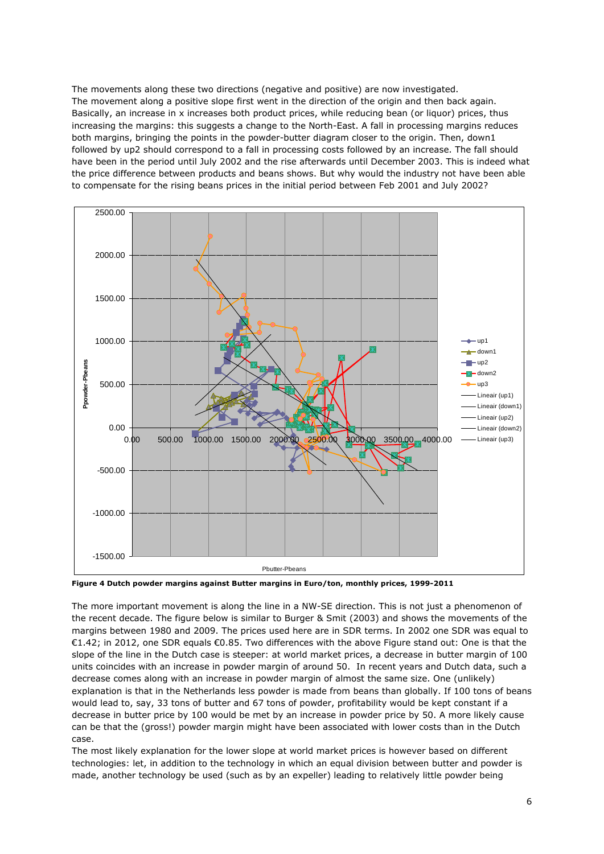The movements along these two directions (negative and positive) are now investigated. The movement along a positive slope first went in the direction of the origin and then back again. Basically, an increase in x increases both product prices, while reducing bean (or liquor) prices, thus increasing the margins: this suggests a change to the North-East. A fall in processing margins reduces both margins, bringing the points in the powder-butter diagram closer to the origin. Then, down1 followed by up2 should correspond to a fall in processing costs followed by an increase. The fall should have been in the period until July 2002 and the rise afterwards until December 2003. This is indeed what the price difference between products and beans shows. But why would the industry not have been able to compensate for the rising beans prices in the initial period between Feb 2001 and July 2002?



**Figure 4 Dutch powder margins against Butter margins in Euro/ton, monthly prices, 1999-2011**

The more important movement is along the line in a NW-SE direction. This is not just a phenomenon of the recent decade. The figure below is similar to Burger & Smit (2003) and shows the movements of the margins between 1980 and 2009. The prices used here are in SDR terms. In 2002 one SDR was equal to €1.42; in 2012, one SDR equals €0.85. Two differences with the above Figure stand out: One is that the slope of the line in the Dutch case is steeper: at world market prices, a decrease in butter margin of 100 units coincides with an increase in powder margin of around 50. In recent years and Dutch data, such a decrease comes along with an increase in powder margin of almost the same size. One (unlikely) explanation is that in the Netherlands less powder is made from beans than globally. If 100 tons of beans would lead to, say, 33 tons of butter and 67 tons of powder, profitability would be kept constant if a decrease in butter price by 100 would be met by an increase in powder price by 50. A more likely cause can be that the (gross!) powder margin might have been associated with lower costs than in the Dutch case.

The most likely explanation for the lower slope at world market prices is however based on different technologies: let, in addition to the technology in which an equal division between butter and powder is made, another technology be used (such as by an expeller) leading to relatively little powder being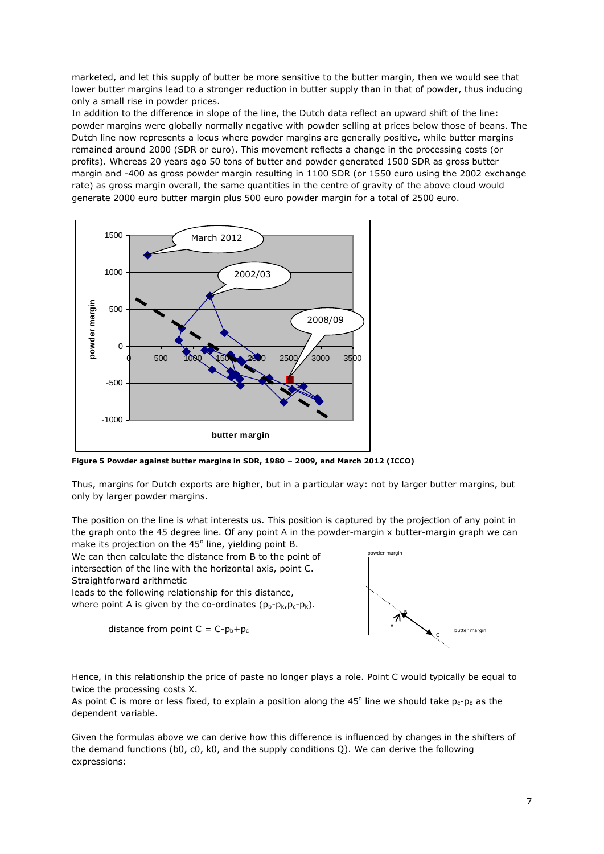marketed, and let this supply of butter be more sensitive to the butter margin, then we would see that lower butter margins lead to a stronger reduction in butter supply than in that of powder, thus inducing only a small rise in powder prices.

In addition to the difference in slope of the line, the Dutch data reflect an upward shift of the line: powder margins were globally normally negative with powder selling at prices below those of beans. The Dutch line now represents a locus where powder margins are generally positive, while butter margins remained around 2000 (SDR or euro). This movement reflects a change in the processing costs (or profits). Whereas 20 years ago 50 tons of butter and powder generated 1500 SDR as gross butter margin and -400 as gross powder margin resulting in 1100 SDR (or 1550 euro using the 2002 exchange rate) as gross margin overall, the same quantities in the centre of gravity of the above cloud would generate 2000 euro butter margin plus 500 euro powder margin for a total of 2500 euro.



**Figure 5 Powder against butter margins in SDR, 1980 – 2009, and March 2012 (ICCO)**

Thus, margins for Dutch exports are higher, but in a particular way: not by larger butter margins, but only by larger powder margins.

The position on the line is what interests us. This position is captured by the projection of any point in the graph onto the 45 degree line. Of any point A in the powder-margin x butter-margin graph we can make its projection on the  $45^\circ$  line, yielding point B.

We can then calculate the distance from B to the point of intersection of the line with the horizontal axis, point C. Straightforward arithmetic

leads to the following relationship for this distance, where point A is given by the co-ordinates  $(p_b-p_k, p_c-p_k)$ .

distance from point  $C = C-p_b+p_c$ 



Hence, in this relationship the price of paste no longer plays a role. Point C would typically be equal to twice the processing costs X.

As point C is more or less fixed, to explain a position along the 45 $^{\circ}$  line we should take  $p_c$ - $p_b$  as the dependent variable.

Given the formulas above we can derive how this difference is influenced by changes in the shifters of the demand functions (b0, c0, k0, and the supply conditions Q). We can derive the following expressions: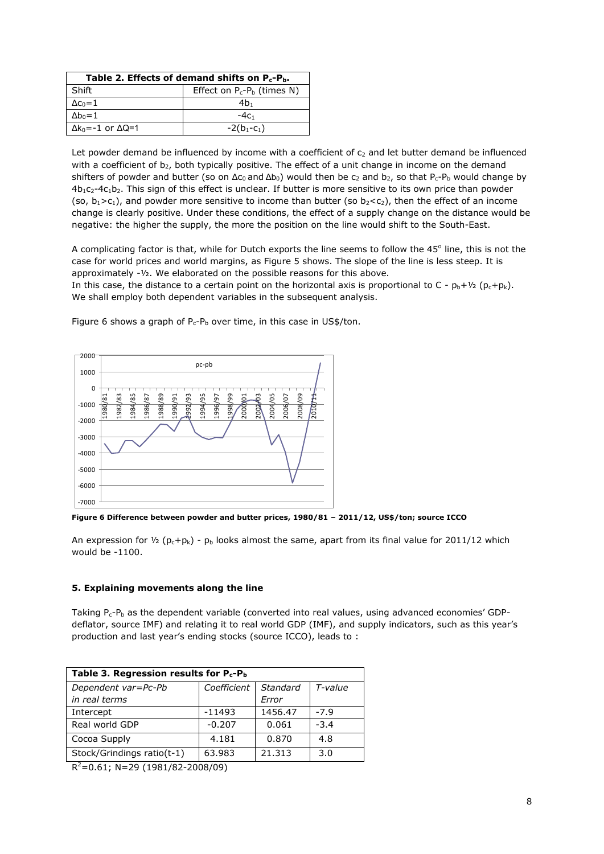| Table 2. Effects of demand shifts on $P_c-P_b$ . |                               |  |  |  |
|--------------------------------------------------|-------------------------------|--|--|--|
| Shift                                            | Effect on $P_c-P_b$ (times N) |  |  |  |
| $\Delta c_0 = 1$                                 | 4b.                           |  |  |  |
| $\Delta b_0 = 1$                                 | $-4c1$                        |  |  |  |
| $\Delta k_0 = -1$ or $\Delta Q = 1$              | $-2(b_1-c_1)$                 |  |  |  |

Let powder demand be influenced by income with a coefficient of  $c<sub>2</sub>$  and let butter demand be influenced with a coefficient of b<sub>2</sub>, both typically positive. The effect of a unit change in income on the demand shifters of powder and butter (so on  $\Delta c_0$  and  $\Delta b_0$ ) would then be  $c_2$  and  $b_2$ , so that P<sub>c</sub>-P<sub>b</sub> would change by  $4b_1c_2-4c_1b_2$ . This sign of this effect is unclear. If butter is more sensitive to its own price than powder (so,  $b_1>c_1$ ), and powder more sensitive to income than butter (so  $b_2 < c_2$ ), then the effect of an income change is clearly positive. Under these conditions, the effect of a supply change on the distance would be negative: the higher the supply, the more the position on the line would shift to the South-East.

A complicating factor is that, while for Dutch exports the line seems to follow the 45° line, this is not the case for world prices and world margins, as Figure 5 shows. The slope of the line is less steep. It is approximately -½. We elaborated on the possible reasons for this above.

In this case, the distance to a certain point on the horizontal axis is proportional to C -  $p_b + \frac{1}{2} (p_c + p_k)$ . We shall employ both dependent variables in the subsequent analysis.



Figure 6 shows a graph of  $P_c-P_b$  over time, in this case in US\$/ton.

**Figure 6 Difference between powder and butter prices, 1980/81 – 2011/12, US\$/ton; source ICCO**

An expression for  $\frac{1}{2}$  (p<sub>c</sub>+p<sub>k</sub>) - p<sub>b</sub> looks almost the same, apart from its final value for 2011/12 which would be -1100.

### **5. Explaining movements along the line**

Taking  $P_c-P_b$  as the dependent variable (converted into real values, using advanced economies' GDPdeflator, source IMF) and relating it to real world GDP (IMF), and supply indicators, such as this year's production and last year's ending stocks (source ICCO), leads to :

| Table 3. Regression results for $P_c-P_b$ |             |          |         |  |  |  |
|-------------------------------------------|-------------|----------|---------|--|--|--|
| Dependent var=Pc-Pb                       | Coefficient | Standard | T-value |  |  |  |
| in real terms                             |             | Error    |         |  |  |  |
| Intercept                                 | $-11493$    | 1456.47  | $-7.9$  |  |  |  |
| Real world GDP                            | $-0.207$    | 0.061    | $-3.4$  |  |  |  |
| Cocoa Supply                              | 4.181       | 0.870    | 4.8     |  |  |  |
| Stock/Grindings ratio(t-1)                | 63.983      | 21.313   | 3.0     |  |  |  |

 $R^2$ =0.61; N=29 (1981/82-2008/09)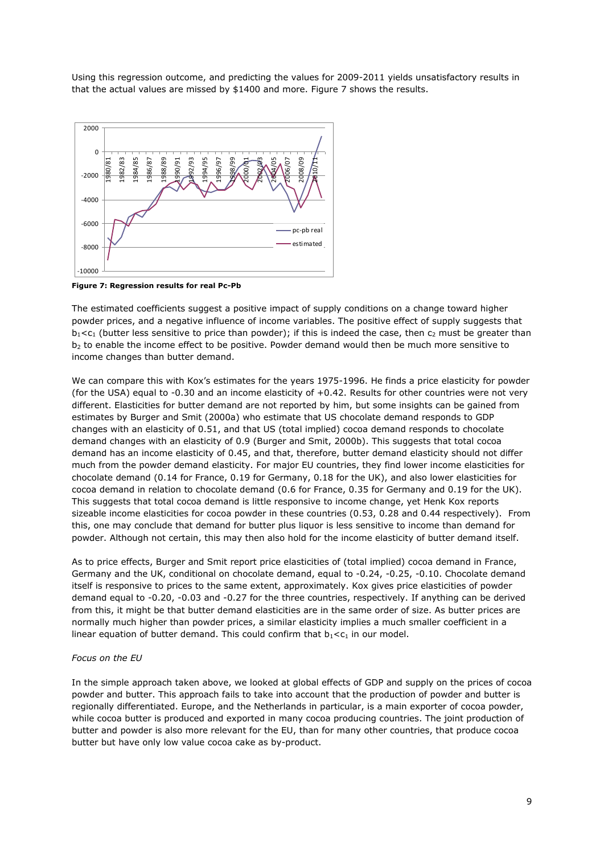Using this regression outcome, and predicting the values for 2009-2011 yields unsatisfactory results in that the actual values are missed by \$1400 and more. Figure 7 shows the results.



**Figure 7: Regression results for real Pc-Pb**

The estimated coefficients suggest a positive impact of supply conditions on a change toward higher powder prices, and a negative influence of income variables. The positive effect of supply suggests that  $b_1$ <c<sub>1</sub> (butter less sensitive to price than powder); if this is indeed the case, then c<sub>2</sub> must be greater than  $b<sub>2</sub>$  to enable the income effect to be positive. Powder demand would then be much more sensitive to income changes than butter demand.

We can compare this with Kox's estimates for the years 1975-1996. He finds a price elasticity for powder (for the USA) equal to -0.30 and an income elasticity of +0.42. Results for other countries were not very different. Elasticities for butter demand are not reported by him, but some insights can be gained from estimates by Burger and Smit (2000a) who estimate that US chocolate demand responds to GDP changes with an elasticity of 0.51, and that US (total implied) cocoa demand responds to chocolate demand changes with an elasticity of 0.9 (Burger and Smit, 2000b). This suggests that total cocoa demand has an income elasticity of 0.45, and that, therefore, butter demand elasticity should not differ much from the powder demand elasticity. For major EU countries, they find lower income elasticities for chocolate demand (0.14 for France, 0.19 for Germany, 0.18 for the UK), and also lower elasticities for cocoa demand in relation to chocolate demand (0.6 for France, 0.35 for Germany and 0.19 for the UK). This suggests that total cocoa demand is little responsive to income change, yet Henk Kox reports sizeable income elasticities for cocoa powder in these countries (0.53, 0.28 and 0.44 respectively). From this, one may conclude that demand for butter plus liquor is less sensitive to income than demand for powder. Although not certain, this may then also hold for the income elasticity of butter demand itself.

As to price effects, Burger and Smit report price elasticities of (total implied) cocoa demand in France, Germany and the UK, conditional on chocolate demand, equal to -0.24, -0.25, -0.10. Chocolate demand itself is responsive to prices to the same extent, approximately. Kox gives price elasticities of powder demand equal to -0.20, -0.03 and -0.27 for the three countries, respectively. If anything can be derived from this, it might be that butter demand elasticities are in the same order of size. As butter prices are normally much higher than powder prices, a similar elasticity implies a much smaller coefficient in a linear equation of butter demand. This could confirm that  $b_1 < c_1$  in our model.

#### *Focus on the EU*

In the simple approach taken above, we looked at global effects of GDP and supply on the prices of cocoa powder and butter. This approach fails to take into account that the production of powder and butter is regionally differentiated. Europe, and the Netherlands in particular, is a main exporter of cocoa powder, while cocoa butter is produced and exported in many cocoa producing countries. The joint production of butter and powder is also more relevant for the EU, than for many other countries, that produce cocoa butter but have only low value cocoa cake as by-product.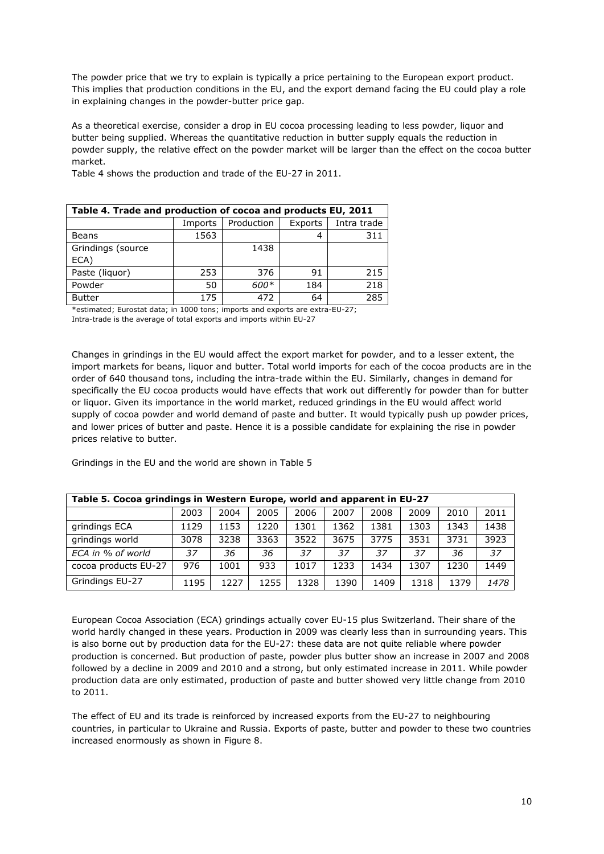The powder price that we try to explain is typically a price pertaining to the European export product. This implies that production conditions in the EU, and the export demand facing the EU could play a role in explaining changes in the powder-butter price gap.

As a theoretical exercise, consider a drop in EU cocoa processing leading to less powder, liquor and butter being supplied. Whereas the quantitative reduction in butter supply equals the reduction in powder supply, the relative effect on the powder market will be larger than the effect on the cocoa butter market.

Table 4 shows the production and trade of the EU-27 in 2011.

| Table 4. Trade and production of cocoa and products EU, 2011 |         |            |         |             |  |  |
|--------------------------------------------------------------|---------|------------|---------|-------------|--|--|
|                                                              | Imports | Production | Exports | Intra trade |  |  |
| <b>Beans</b>                                                 | 1563    |            |         | 311         |  |  |
| Grindings (source                                            |         | 1438       |         |             |  |  |
| ECA)                                                         |         |            |         |             |  |  |
| Paste (liquor)                                               | 253     | 376        | 91      | 215         |  |  |
| Powder                                                       | 50      | 600*       | 184     | 218         |  |  |
| <b>Butter</b>                                                | 175     | 472        | 64      | 285         |  |  |

\*estimated; Eurostat data; in 1000 tons; imports and exports are extra-EU-27; Intra-trade is the average of total exports and imports within EU-27

Changes in grindings in the EU would affect the export market for powder, and to a lesser extent, the import markets for beans, liquor and butter. Total world imports for each of the cocoa products are in the order of 640 thousand tons, including the intra-trade within the EU. Similarly, changes in demand for specifically the EU cocoa products would have effects that work out differently for powder than for butter or liquor. Given its importance in the world market, reduced grindings in the EU would affect world supply of cocoa powder and world demand of paste and butter. It would typically push up powder prices, and lower prices of butter and paste. Hence it is a possible candidate for explaining the rise in powder prices relative to butter.

Grindings in the EU and the world are shown in Table 5

| Table 5. Cocoa grindings in Western Europe, world and apparent in EU-27 |      |      |      |      |      |      |      |      |      |
|-------------------------------------------------------------------------|------|------|------|------|------|------|------|------|------|
|                                                                         | 2003 | 2004 | 2005 | 2006 | 2007 | 2008 | 2009 | 2010 | 2011 |
| grindings ECA                                                           | 1129 | 1153 | 1220 | 1301 | 1362 | 1381 | 1303 | 1343 | 1438 |
| grindings world                                                         | 3078 | 3238 | 3363 | 3522 | 3675 | 3775 | 3531 | 3731 | 3923 |
| ECA in % of world                                                       | 37   | 36   | 36   | 37   | 37   | 37   | 37   | 36   | 37   |
| cocoa products EU-27                                                    | 976  | 1001 | 933  | 1017 | 1233 | 1434 | 1307 | 1230 | 1449 |
| Grindings EU-27                                                         | 1195 | 1227 | 1255 | 1328 | 1390 | 1409 | 1318 | 1379 | 1478 |

European Cocoa Association (ECA) grindings actually cover EU-15 plus Switzerland. Their share of the world hardly changed in these years. Production in 2009 was clearly less than in surrounding years. This is also borne out by production data for the EU-27: these data are not quite reliable where powder production is concerned. But production of paste, powder plus butter show an increase in 2007 and 2008 followed by a decline in 2009 and 2010 and a strong, but only estimated increase in 2011. While powder production data are only estimated, production of paste and butter showed very little change from 2010 to 2011.

The effect of EU and its trade is reinforced by increased exports from the EU-27 to neighbouring countries, in particular to Ukraine and Russia. Exports of paste, butter and powder to these two countries increased enormously as shown in Figure 8.